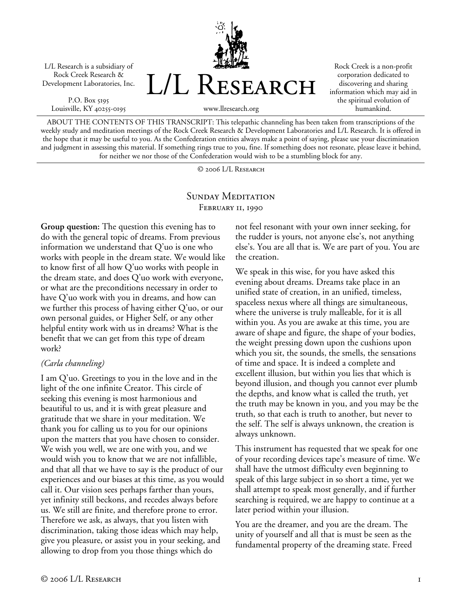L/L Research is a subsidiary of Rock Creek Research & Development Laboratories, Inc.

P.O. Box 5195 Louisville, KY 40255-0195



Rock Creek is a non-profit corporation dedicated to discovering and sharing information which may aid in the spiritual evolution of humankind.

ABOUT THE CONTENTS OF THIS TRANSCRIPT: This telepathic channeling has been taken from transcriptions of the weekly study and meditation meetings of the Rock Creek Research & Development Laboratories and L/L Research. It is offered in the hope that it may be useful to you. As the Confederation entities always make a point of saying, please use your discrimination and judgment in assessing this material. If something rings true to you, fine. If something does not resonate, please leave it behind, for neither we nor those of the Confederation would wish to be a stumbling block for any.

© 2006 L/L Research

## SUNDAY MEDITATION FEBRUARY II, 1990

**Group question:** The question this evening has to do with the general topic of dreams. From previous information we understand that Q'uo is one who works with people in the dream state. We would like to know first of all how Q'uo works with people in the dream state, and does Q'uo work with everyone, or what are the preconditions necessary in order to have Q'uo work with you in dreams, and how can we further this process of having either Q'uo, or our own personal guides, or Higher Self, or any other helpful entity work with us in dreams? What is the benefit that we can get from this type of dream work?

#### *(Carla channeling)*

I am Q'uo. Greetings to you in the love and in the light of the one infinite Creator. This circle of seeking this evening is most harmonious and beautiful to us, and it is with great pleasure and gratitude that we share in your meditation. We thank you for calling us to you for our opinions upon the matters that you have chosen to consider. We wish you well, we are one with you, and we would wish you to know that we are not infallible, and that all that we have to say is the product of our experiences and our biases at this time, as you would call it. Our vision sees perhaps farther than yours, yet infinity still beckons, and recedes always before us. We still are finite, and therefore prone to error. Therefore we ask, as always, that you listen with discrimination, taking those ideas which may help, give you pleasure, or assist you in your seeking, and allowing to drop from you those things which do

not feel resonant with your own inner seeking, for the rudder is yours, not anyone else's, not anything else's. You are all that is. We are part of you. You are the creation.

We speak in this wise, for you have asked this evening about dreams. Dreams take place in an unified state of creation, in an unified, timeless, spaceless nexus where all things are simultaneous, where the universe is truly malleable, for it is all within you. As you are awake at this time, you are aware of shape and figure, the shape of your bodies, the weight pressing down upon the cushions upon which you sit, the sounds, the smells, the sensations of time and space. It is indeed a complete and excellent illusion, but within you lies that which is beyond illusion, and though you cannot ever plumb the depths, and know what is called the truth, yet the truth may be known in you, and you may be the truth, so that each is truth to another, but never to the self. The self is always unknown, the creation is always unknown.

This instrument has requested that we speak for one of your recording devices tape's measure of time. We shall have the utmost difficulty even beginning to speak of this large subject in so short a time, yet we shall attempt to speak most generally, and if further searching is required, we are happy to continue at a later period within your illusion.

You are the dreamer, and you are the dream. The unity of yourself and all that is must be seen as the fundamental property of the dreaming state. Freed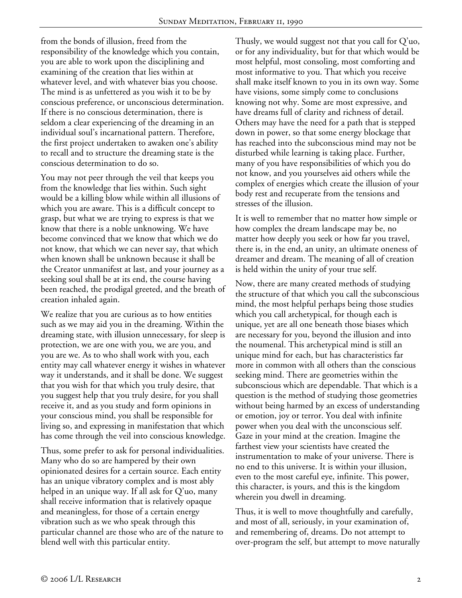from the bonds of illusion, freed from the responsibility of the knowledge which you contain, you are able to work upon the disciplining and examining of the creation that lies within at whatever level, and with whatever bias you choose. The mind is as unfettered as you wish it to be by conscious preference, or unconscious determination. If there is no conscious determination, there is seldom a clear experiencing of the dreaming in an individual soul's incarnational pattern. Therefore, the first project undertaken to awaken one's ability to recall and to structure the dreaming state is the conscious determination to do so.

You may not peer through the veil that keeps you from the knowledge that lies within. Such sight would be a killing blow while within all illusions of which you are aware. This is a difficult concept to grasp, but what we are trying to express is that we know that there is a noble unknowing. We have become convinced that we know that which we do not know, that which we can never say, that which when known shall be unknown because it shall be the Creator unmanifest at last, and your journey as a seeking soul shall be at its end, the course having been reached, the prodigal greeted, and the breath of creation inhaled again.

We realize that you are curious as to how entities such as we may aid you in the dreaming. Within the dreaming state, with illusion unnecessary, for sleep is protection, we are one with you, we are you, and you are we. As to who shall work with you, each entity may call whatever energy it wishes in whatever way it understands, and it shall be done. We suggest that you wish for that which you truly desire, that you suggest help that you truly desire, for you shall receive it, and as you study and form opinions in your conscious mind, you shall be responsible for living so, and expressing in manifestation that which has come through the veil into conscious knowledge.

Thus, some prefer to ask for personal individualities. Many who do so are hampered by their own opinionated desires for a certain source. Each entity has an unique vibratory complex and is most ably helped in an unique way. If all ask for Q'uo, many shall receive information that is relatively opaque and meaningless, for those of a certain energy vibration such as we who speak through this particular channel are those who are of the nature to blend well with this particular entity.

Thusly, we would suggest not that you call for Q'uo, or for any individuality, but for that which would be most helpful, most consoling, most comforting and most informative to you. That which you receive shall make itself known to you in its own way. Some have visions, some simply come to conclusions knowing not why. Some are most expressive, and have dreams full of clarity and richness of detail. Others may have the need for a path that is stepped down in power, so that some energy blockage that has reached into the subconscious mind may not be disturbed while learning is taking place. Further, many of you have responsibilities of which you do not know, and you yourselves aid others while the complex of energies which create the illusion of your body rest and recuperate from the tensions and stresses of the illusion.

It is well to remember that no matter how simple or how complex the dream landscape may be, no matter how deeply you seek or how far you travel, there is, in the end, an unity, an ultimate oneness of dreamer and dream. The meaning of all of creation is held within the unity of your true self.

Now, there are many created methods of studying the structure of that which you call the subconscious mind, the most helpful perhaps being those studies which you call archetypical, for though each is unique, yet are all one beneath those biases which are necessary for you, beyond the illusion and into the noumenal. This archetypical mind is still an unique mind for each, but has characteristics far more in common with all others than the conscious seeking mind. There are geometries within the subconscious which are dependable. That which is a question is the method of studying those geometries without being harmed by an excess of understanding or emotion, joy or terror. You deal with infinite power when you deal with the unconscious self. Gaze in your mind at the creation. Imagine the farthest view your scientists have created the instrumentation to make of your universe. There is no end to this universe. It is within your illusion, even to the most careful eye, infinite. This power, this character, is yours, and this is the kingdom wherein you dwell in dreaming.

Thus, it is well to move thoughtfully and carefully, and most of all, seriously, in your examination of, and remembering of, dreams. Do not attempt to over-program the self, but attempt to move naturally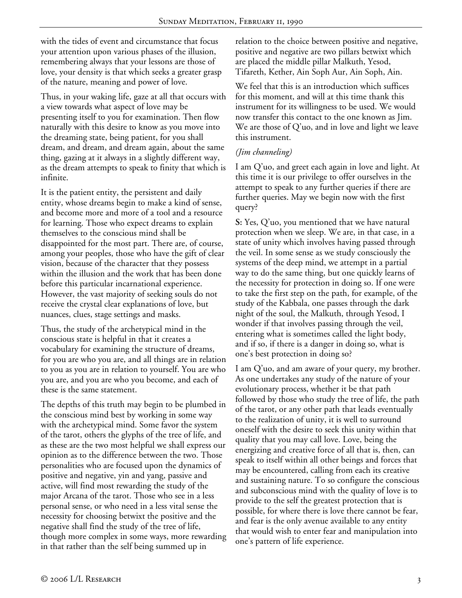with the tides of event and circumstance that focus your attention upon various phases of the illusion, remembering always that your lessons are those of love, your density is that which seeks a greater grasp of the nature, meaning and power of love.

Thus, in your waking life, gaze at all that occurs with a view towards what aspect of love may be presenting itself to you for examination. Then flow naturally with this desire to know as you move into the dreaming state, being patient, for you shall dream, and dream, and dream again, about the same thing, gazing at it always in a slightly different way, as the dream attempts to speak to finity that which is infinite.

It is the patient entity, the persistent and daily entity, whose dreams begin to make a kind of sense, and become more and more of a tool and a resource for learning. Those who expect dreams to explain themselves to the conscious mind shall be disappointed for the most part. There are, of course, among your peoples, those who have the gift of clear vision, because of the character that they possess within the illusion and the work that has been done before this particular incarnational experience. However, the vast majority of seeking souls do not receive the crystal clear explanations of love, but nuances, clues, stage settings and masks.

Thus, the study of the archetypical mind in the conscious state is helpful in that it creates a vocabulary for examining the structure of dreams, for you are who you are, and all things are in relation to you as you are in relation to yourself. You are who you are, and you are who you become, and each of these is the same statement.

The depths of this truth may begin to be plumbed in the conscious mind best by working in some way with the archetypical mind. Some favor the system of the tarot, others the glyphs of the tree of life, and as these are the two most helpful we shall express our opinion as to the difference between the two. Those personalities who are focused upon the dynamics of positive and negative, yin and yang, passive and active, will find most rewarding the study of the major Arcana of the tarot. Those who see in a less personal sense, or who need in a less vital sense the necessity for choosing betwixt the positive and the negative shall find the study of the tree of life, though more complex in some ways, more rewarding in that rather than the self being summed up in

relation to the choice between positive and negative, positive and negative are two pillars betwixt which are placed the middle pillar Malkuth, Yesod, Tifareth, Kether, Ain Soph Aur, Ain Soph, Ain.

We feel that this is an introduction which suffices for this moment, and will at this time thank this instrument for its willingness to be used. We would now transfer this contact to the one known as Jim. We are those of Q'uo, and in love and light we leave this instrument.

## *(Jim channeling)*

I am Q'uo, and greet each again in love and light. At this time it is our privilege to offer ourselves in the attempt to speak to any further queries if there are further queries. May we begin now with the first query?

**S:** Yes, Q'uo, you mentioned that we have natural protection when we sleep. We are, in that case, in a state of unity which involves having passed through the veil. In some sense as we study consciously the systems of the deep mind, we attempt in a partial way to do the same thing, but one quickly learns of the necessity for protection in doing so. If one were to take the first step on the path, for example, of the study of the Kabbala, one passes through the dark night of the soul, the Malkuth, through Yesod, I wonder if that involves passing through the veil, entering what is sometimes called the light body, and if so, if there is a danger in doing so, what is one's best protection in doing so?

I am Q'uo, and am aware of your query, my brother. As one undertakes any study of the nature of your evolutionary process, whether it be that path followed by those who study the tree of life, the path of the tarot, or any other path that leads eventually to the realization of unity, it is well to surround oneself with the desire to seek this unity within that quality that you may call love. Love, being the energizing and creative force of all that is, then, can speak to itself within all other beings and forces that may be encountered, calling from each its creative and sustaining nature. To so configure the conscious and subconscious mind with the quality of love is to provide to the self the greatest protection that is possible, for where there is love there cannot be fear, and fear is the only avenue available to any entity that would wish to enter fear and manipulation into one's pattern of life experience.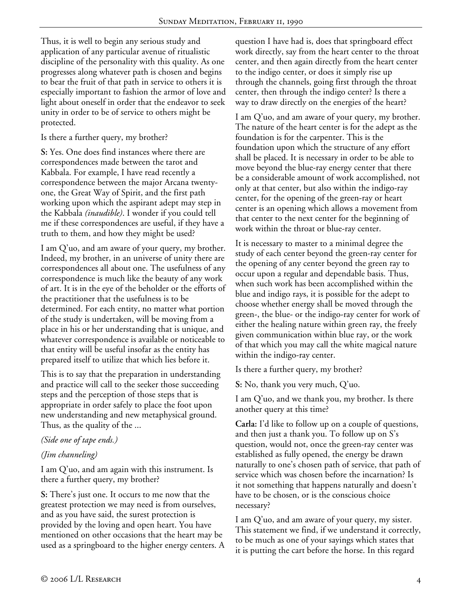Thus, it is well to begin any serious study and application of any particular avenue of ritualistic discipline of the personality with this quality. As one progresses along whatever path is chosen and begins to bear the fruit of that path in service to others it is especially important to fashion the armor of love and light about oneself in order that the endeavor to seek unity in order to be of service to others might be protected.

Is there a further query, my brother?

**S:** Yes. One does find instances where there are correspondences made between the tarot and Kabbala. For example, I have read recently a correspondence between the major Arcana twentyone, the Great Way of Spirit, and the first path working upon which the aspirant adept may step in the Kabbala *(inaudible)*. I wonder if you could tell me if these correspondences are useful, if they have a truth to them, and how they might be used?

I am Q'uo, and am aware of your query, my brother. Indeed, my brother, in an universe of unity there are correspondences all about one. The usefulness of any correspondence is much like the beauty of any work of art. It is in the eye of the beholder or the efforts of the practitioner that the usefulness is to be determined. For each entity, no matter what portion of the study is undertaken, will be moving from a place in his or her understanding that is unique, and whatever correspondence is available or noticeable to that entity will be useful insofar as the entity has prepared itself to utilize that which lies before it.

This is to say that the preparation in understanding and practice will call to the seeker those succeeding steps and the perception of those steps that is appropriate in order safely to place the foot upon new understanding and new metaphysical ground. Thus, as the quality of the ...

## *(Side one of tape ends.)*

# *(Jim channeling)*

I am Q'uo, and am again with this instrument. Is there a further query, my brother?

**S:** There's just one. It occurs to me now that the greatest protection we may need is from ourselves, and as you have said, the surest protection is provided by the loving and open heart. You have mentioned on other occasions that the heart may be used as a springboard to the higher energy centers. A question I have had is, does that springboard effect work directly, say from the heart center to the throat center, and then again directly from the heart center to the indigo center, or does it simply rise up through the channels, going first through the throat center, then through the indigo center? Is there a way to draw directly on the energies of the heart?

I am Q'uo, and am aware of your query, my brother. The nature of the heart center is for the adept as the foundation is for the carpenter. This is the foundation upon which the structure of any effort shall be placed. It is necessary in order to be able to move beyond the blue-ray energy center that there be a considerable amount of work accomplished, not only at that center, but also within the indigo-ray center, for the opening of the green-ray or heart center is an opening which allows a movement from that center to the next center for the beginning of work within the throat or blue-ray center.

It is necessary to master to a minimal degree the study of each center beyond the green-ray center for the opening of any center beyond the green ray to occur upon a regular and dependable basis. Thus, when such work has been accomplished within the blue and indigo rays, it is possible for the adept to choose whether energy shall be moved through the green-, the blue- or the indigo-ray center for work of either the healing nature within green ray, the freely given communication within blue ray, or the work of that which you may call the white magical nature within the indigo-ray center.

Is there a further query, my brother?

**S:** No, thank you very much, Q'uo.

I am Q'uo, and we thank you, my brother. Is there another query at this time?

**Carla:** I'd like to follow up on a couple of questions, and then just a thank you. To follow up on S's question, would not, once the green-ray center was established as fully opened, the energy be drawn naturally to one's chosen path of service, that path of service which was chosen before the incarnation? Is it not something that happens naturally and doesn't have to be chosen, or is the conscious choice necessary?

I am Q'uo, and am aware of your query, my sister. This statement we find, if we understand it correctly, to be much as one of your sayings which states that it is putting the cart before the horse. In this regard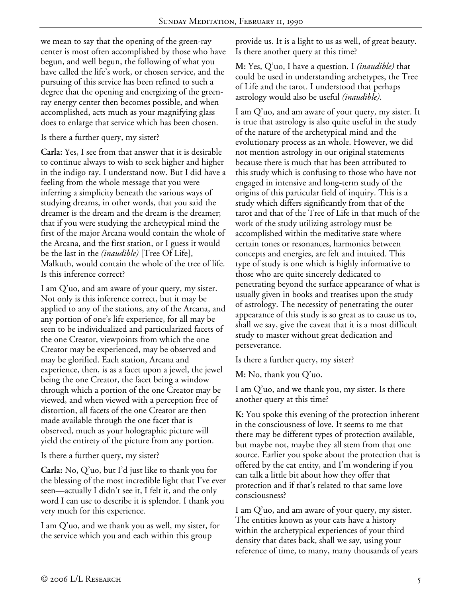we mean to say that the opening of the green-ray center is most often accomplished by those who have begun, and well begun, the following of what you have called the life's work, or chosen service, and the pursuing of this service has been refined to such a degree that the opening and energizing of the greenray energy center then becomes possible, and when accomplished, acts much as your magnifying glass does to enlarge that service which has been chosen.

Is there a further query, my sister?

**Carla:** Yes, I see from that answer that it is desirable to continue always to wish to seek higher and higher in the indigo ray. I understand now. But I did have a feeling from the whole message that you were inferring a simplicity beneath the various ways of studying dreams, in other words, that you said the dreamer is the dream and the dream is the dreamer; that if you were studying the archetypical mind the first of the major Arcana would contain the whole of the Arcana, and the first station, or I guess it would be the last in the *(inaudible)* [Tree Of Life], Malkuth, would contain the whole of the tree of life. Is this inference correct?

I am Q'uo, and am aware of your query, my sister. Not only is this inference correct, but it may be applied to any of the stations, any of the Arcana, and any portion of one's life experience, for all may be seen to be individualized and particularized facets of the one Creator, viewpoints from which the one Creator may be experienced, may be observed and may be glorified. Each station, Arcana and experience, then, is as a facet upon a jewel, the jewel being the one Creator, the facet being a window through which a portion of the one Creator may be viewed, and when viewed with a perception free of distortion, all facets of the one Creator are then made available through the one facet that is observed, much as your holographic picture will yield the entirety of the picture from any portion.

Is there a further query, my sister?

**Carla:** No, Q'uo, but I'd just like to thank you for the blessing of the most incredible light that I've ever seen—actually I didn't see it, I felt it, and the only word I can use to describe it is splendor. I thank you very much for this experience.

I am Q'uo, and we thank you as well, my sister, for the service which you and each within this group

provide us. It is a light to us as well, of great beauty. Is there another query at this time?

**M:** Yes, Q'uo, I have a question. I *(inaudible)* that could be used in understanding archetypes, the Tree of Life and the tarot. I understood that perhaps astrology would also be useful *(inaudible)*.

I am Q'uo, and am aware of your query, my sister. It is true that astrology is also quite useful in the study of the nature of the archetypical mind and the evolutionary process as an whole. However, we did not mention astrology in our original statements because there is much that has been attributed to this study which is confusing to those who have not engaged in intensive and long-term study of the origins of this particular field of inquiry. This is a study which differs significantly from that of the tarot and that of the Tree of Life in that much of the work of the study utilizing astrology must be accomplished within the meditative state where certain tones or resonances, harmonics between concepts and energies, are felt and intuited. This type of study is one which is highly informative to those who are quite sincerely dedicated to penetrating beyond the surface appearance of what is usually given in books and treatises upon the study of astrology. The necessity of penetrating the outer appearance of this study is so great as to cause us to, shall we say, give the caveat that it is a most difficult study to master without great dedication and perseverance.

Is there a further query, my sister?

**M:** No, thank you Q'uo.

I am Q'uo, and we thank you, my sister. Is there another query at this time?

**K:** You spoke this evening of the protection inherent in the consciousness of love. It seems to me that there may be different types of protection available, but maybe not, maybe they all stem from that one source. Earlier you spoke about the protection that is offered by the cat entity, and I'm wondering if you can talk a little bit about how they offer that protection and if that's related to that same love consciousness?

I am Q'uo, and am aware of your query, my sister. The entities known as your cats have a history within the archetypical experiences of your third density that dates back, shall we say, using your reference of time, to many, many thousands of years